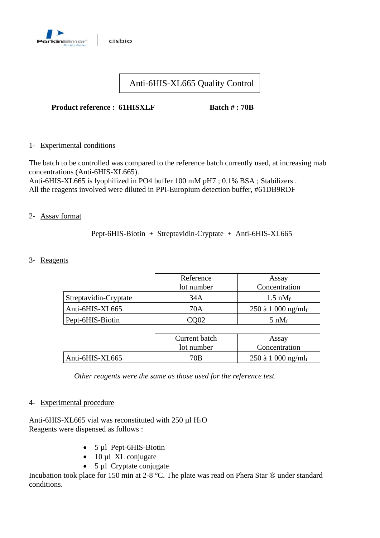

# Anti-6HIS-XL665 Quality Control

### **Product reference : 61HISXLF Batch # : 70B**

1- Experimental conditions

The batch to be controlled was compared to the reference batch currently used, at increasing mab concentrations (Anti-6HIS-XL665).

Anti-6HIS-XL665 is lyophilized in PO4 buffer 100 mM pH7 ; 0.1% BSA ; Stabilizers . All the reagents involved were diluted in PPI-Europium detection buffer, #61DB9RDF

#### 2- Assay format

Pept-6HIS-Biotin + Streptavidin-Cryptate + Anti-6HIS-XL665

#### 3- Reagents

|                       | Reference<br>lot number | Assay<br>Concentration         |  |
|-----------------------|-------------------------|--------------------------------|--|
| Streptavidin-Cryptate | 34A                     | $1.5 \text{ nM}_f$             |  |
| Anti-6HIS-XL665       | 70A                     | 250 à 1 000 ng/ml <sub>f</sub> |  |
| Pept-6HIS-Biotin      | CO02                    | 5 n $M_f$                      |  |

|                 | Current batch<br>lot number | Assay<br>Concentration         |
|-----------------|-----------------------------|--------------------------------|
| Anti-6HIS-XL665 | 70B                         | 250 à 1 000 ng/ml <sub>f</sub> |

*Other reagents were the same as those used for the reference test.*

#### 4- Experimental procedure

Anti-6HIS-XL665 vial was reconstituted with  $250 \mu$ l H<sub>2</sub>O Reagents were dispensed as follows :

- 5 µl Pept-6HIS-Biotin
- 10 µl XL conjugate
- 5 µl Cryptate conjugate

Incubation took place for 150 min at 2-8 °C. The plate was read on Phera Star  $\otimes$  under standard conditions.